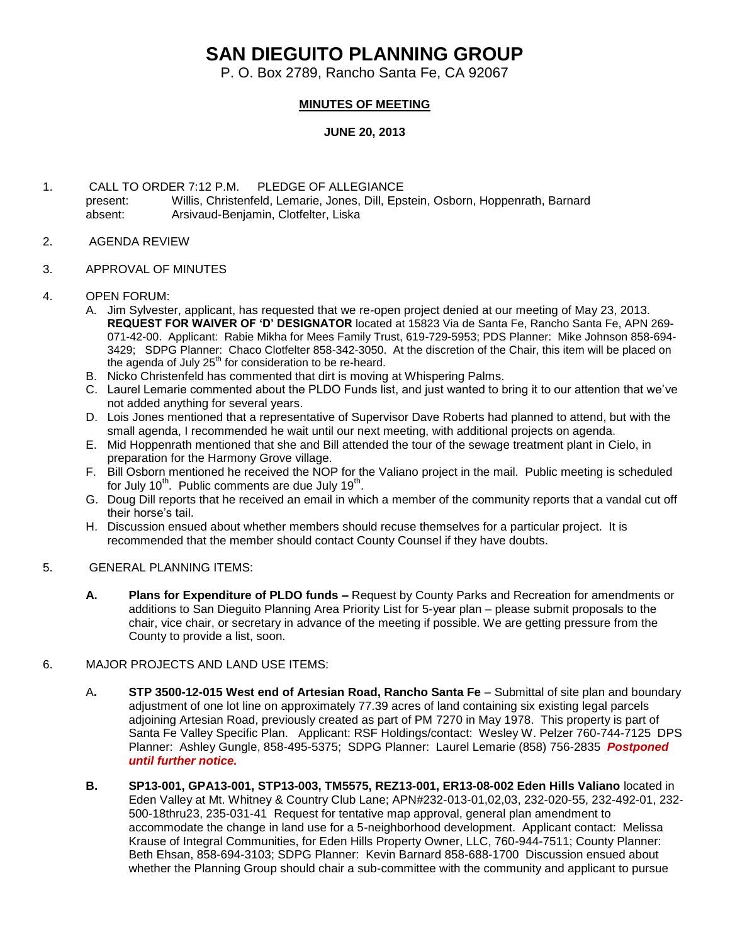## **SAN DIEGUITO PLANNING GROUP**

P. O. Box 2789, Rancho Santa Fe, CA 92067

## **MINUTES OF MEETING**

## **JUNE 20, 2013**

- 1. CALL TO ORDER 7:12 P.M. PLEDGE OF ALLEGIANCE present: Willis, Christenfeld, Lemarie, Jones, Dill, Epstein, Osborn, Hoppenrath, Barnard absent: Arsivaud-Benjamin, Clotfelter, Liska
- 2. AGENDA REVIEW
- 3. APPROVAL OF MINUTES
- 4. OPEN FORUM:
	- A. Jim Sylvester, applicant, has requested that we re-open project denied at our meeting of May 23, 2013. **REQUEST FOR WAIVER OF 'D' DESIGNATOR** located at 15823 Via de Santa Fe, Rancho Santa Fe, APN 269- 071-42-00. Applicant: Rabie Mikha for Mees Family Trust, 619-729-5953; PDS Planner: Mike Johnson 858-694- 3429; SDPG Planner: Chaco Clotfelter 858-342-3050. At the discretion of the Chair, this item will be placed on the agenda of July  $25<sup>th</sup>$  for consideration to be re-heard.
	- B. Nicko Christenfeld has commented that dirt is moving at Whispering Palms.
	- C. Laurel Lemarie commented about the PLDO Funds list, and just wanted to bring it to our attention that we've not added anything for several years.
	- D. Lois Jones mentioned that a representative of Supervisor Dave Roberts had planned to attend, but with the small agenda, I recommended he wait until our next meeting, with additional projects on agenda.
	- E. Mid Hoppenrath mentioned that she and Bill attended the tour of the sewage treatment plant in Cielo, in preparation for the Harmony Grove village.
	- F. Bill Osborn mentioned he received the NOP for the Valiano project in the mail. Public meeting is scheduled for July 10<sup>th</sup>. Public comments are due July 19<sup>th</sup>.
	- G. Doug Dill reports that he received an email in which a member of the community reports that a vandal cut off their horse's tail.
	- H. Discussion ensued about whether members should recuse themselves for a particular project. It is recommended that the member should contact County Counsel if they have doubts.
- 5. GENERAL PLANNING ITEMS:
	- **A. Plans for Expenditure of PLDO funds –** Request by County Parks and Recreation for amendments or additions to San Dieguito Planning Area Priority List for 5-year plan – please submit proposals to the chair, vice chair, or secretary in advance of the meeting if possible. We are getting pressure from the County to provide a list, soon.
- 6. MAJOR PROJECTS AND LAND USE ITEMS:
	- A**. STP 3500-12-015 West end of Artesian Road, Rancho Santa Fe** Submittal of site plan and boundary adjustment of one lot line on approximately 77.39 acres of land containing six existing legal parcels adjoining Artesian Road, previously created as part of PM 7270 in May 1978. This property is part of Santa Fe Valley Specific Plan.Applicant: RSF Holdings/contact: Wesley W. Pelzer 760-744-7125 DPS Planner: Ashley Gungle, 858-495-5375; SDPG Planner: Laurel Lemarie (858) 756-2835 *Postponed until further notice.*
	- **B. SP13-001, GPA13-001, STP13-003, TM5575, REZ13-001, ER13-08-002 Eden Hills Valiano** located in Eden Valley at Mt. Whitney & Country Club Lane; APN#232-013-01,02,03, 232-020-55, 232-492-01, 232- 500-18thru23, 235-031-41 Request for tentative map approval, general plan amendment to accommodate the change in land use for a 5-neighborhood development. Applicant contact: Melissa Krause of Integral Communities, for Eden Hills Property Owner, LLC, 760-944-7511; County Planner: Beth Ehsan, 858-694-3103; SDPG Planner: Kevin Barnard 858-688-1700 Discussion ensued about whether the Planning Group should chair a sub-committee with the community and applicant to pursue